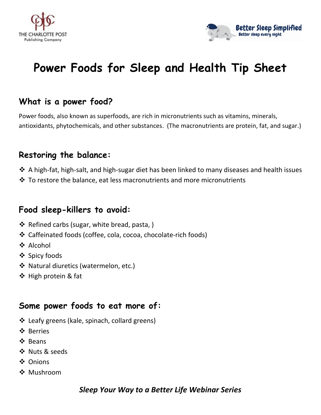



# **Power Foods for Sleep and Health Tip Sheet**

## **What is a power food?**

Power foods, also known as superfoods, are rich in micronutrients such as vitamins, minerals, antioxidants, phytochemicals, and other substances. (The macronutrients are protein, fat, and sugar.)

#### **Restoring the balance:**

- $\cdot$  A high-fat, high-salt, and high-sugar diet has been linked to many diseases and health issues
- ◆ To restore the balance, eat less macronutrients and more micronutrients

#### **Food sleep-killers to avoid:**

- ❖ Refined carbs (sugar, white bread, pasta, )
- ❖ Caffeinated foods (coffee, cola, cocoa, chocolate-rich foods)
- ❖ Alcohol
- ❖ Spicy foods
- ❖ Natural diuretics (watermelon, etc.)
- ❖ High protein & fat

#### **Some power foods to eat more of:**

- ❖ Leafy greens (kale, spinach, collard greens)
- ❖ Berries
- ❖ Beans
- ❖ Nuts & seeds
- ❖ Onions
- ❖ Mushroom